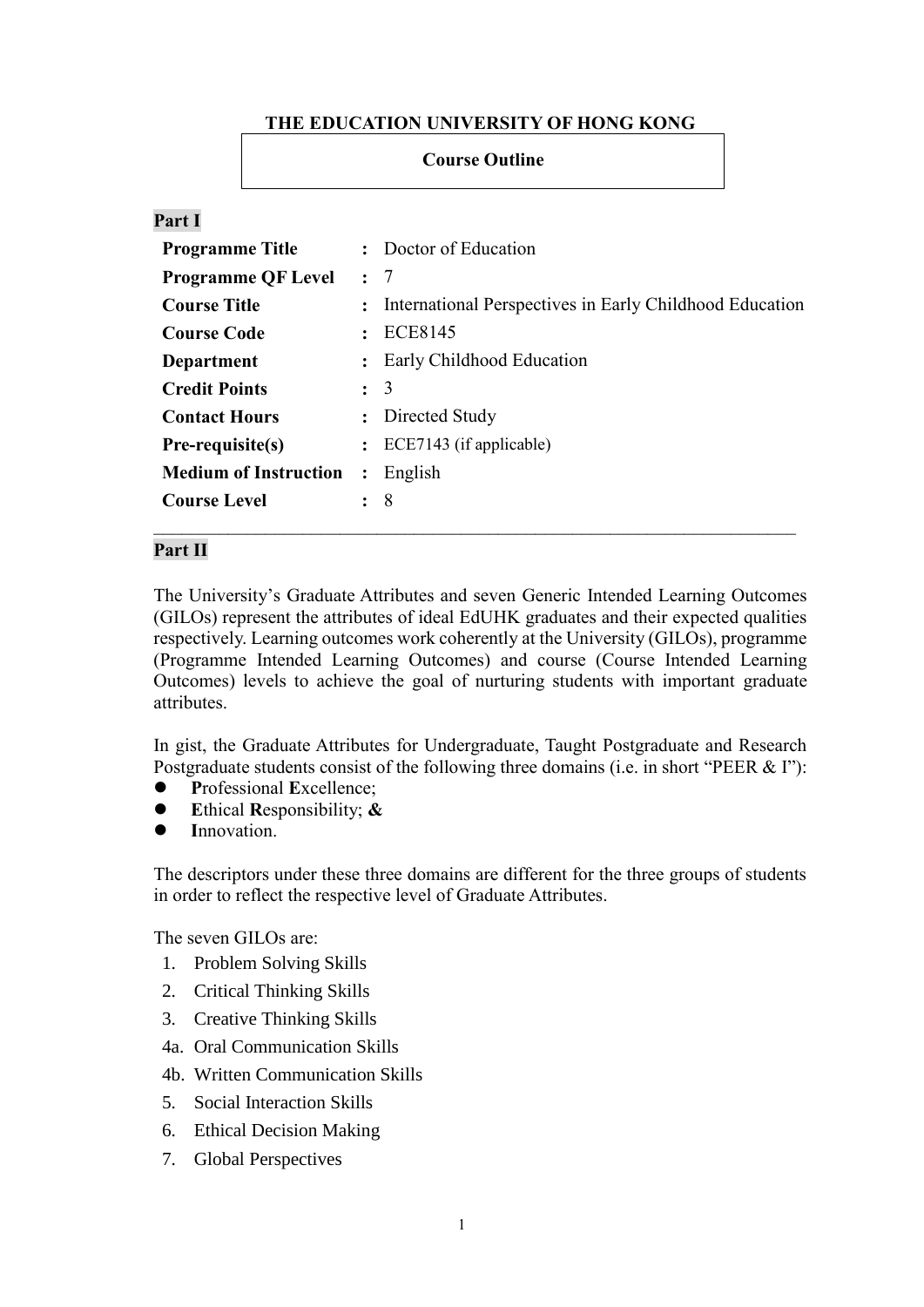# **THE EDUCATION UNIVERSITY OF HONG KONG**

## **Course Outline**

## **Part I**

| <b>Programme Title</b>       | $\ddot{\cdot}$       | Doctor of Education                                       |  |  |  |
|------------------------------|----------------------|-----------------------------------------------------------|--|--|--|
| <b>Programme QF Level</b>    | $\therefore$ 7       |                                                           |  |  |  |
| <b>Course Title</b>          |                      | : International Perspectives in Early Childhood Education |  |  |  |
| <b>Course Code</b>           | $\ddot{\cdot}$       | ECE8145                                                   |  |  |  |
| Department                   | $\ddot{\phantom{a}}$ | Early Childhood Education                                 |  |  |  |
| <b>Credit Points</b>         | $\colon$ 3           |                                                           |  |  |  |
| <b>Contact Hours</b>         | $\ddot{\phantom{a}}$ | Directed Study                                            |  |  |  |
| Pre-requisite(s)             |                      | $\colon$ ECE7143 (if applicable)                          |  |  |  |
| <b>Medium of Instruction</b> | $\ddot{\cdot}$       | English                                                   |  |  |  |
| <b>Course Level</b>          | $\colon$ 8           |                                                           |  |  |  |

#### **Part II**

The University's Graduate Attributes and seven Generic Intended Learning Outcomes (GILOs) represent the attributes of ideal EdUHK graduates and their expected qualities respectively. Learning outcomes work coherently at the University (GILOs), programme (Programme Intended Learning Outcomes) and course (Course Intended Learning Outcomes) levels to achieve the goal of nurturing students with important graduate attributes.

In gist, the Graduate Attributes for Undergraduate, Taught Postgraduate and Research Postgraduate students consist of the following three domains (i.e. in short "PEER & I"):

- **P**rofessional **E**xcellence;
- **E**thical **R**esponsibility; **&**
- **I**nnovation.

The descriptors under these three domains are different for the three groups of students in order to reflect the respective level of Graduate Attributes.

The seven GILOs are:

- 1. Problem Solving Skills
- 2. Critical Thinking Skills
- 3. Creative Thinking Skills
- 4a. Oral Communication Skills
- 4b. Written Communication Skills
- 5. Social Interaction Skills
- 6. Ethical Decision Making
- 7. Global Perspectives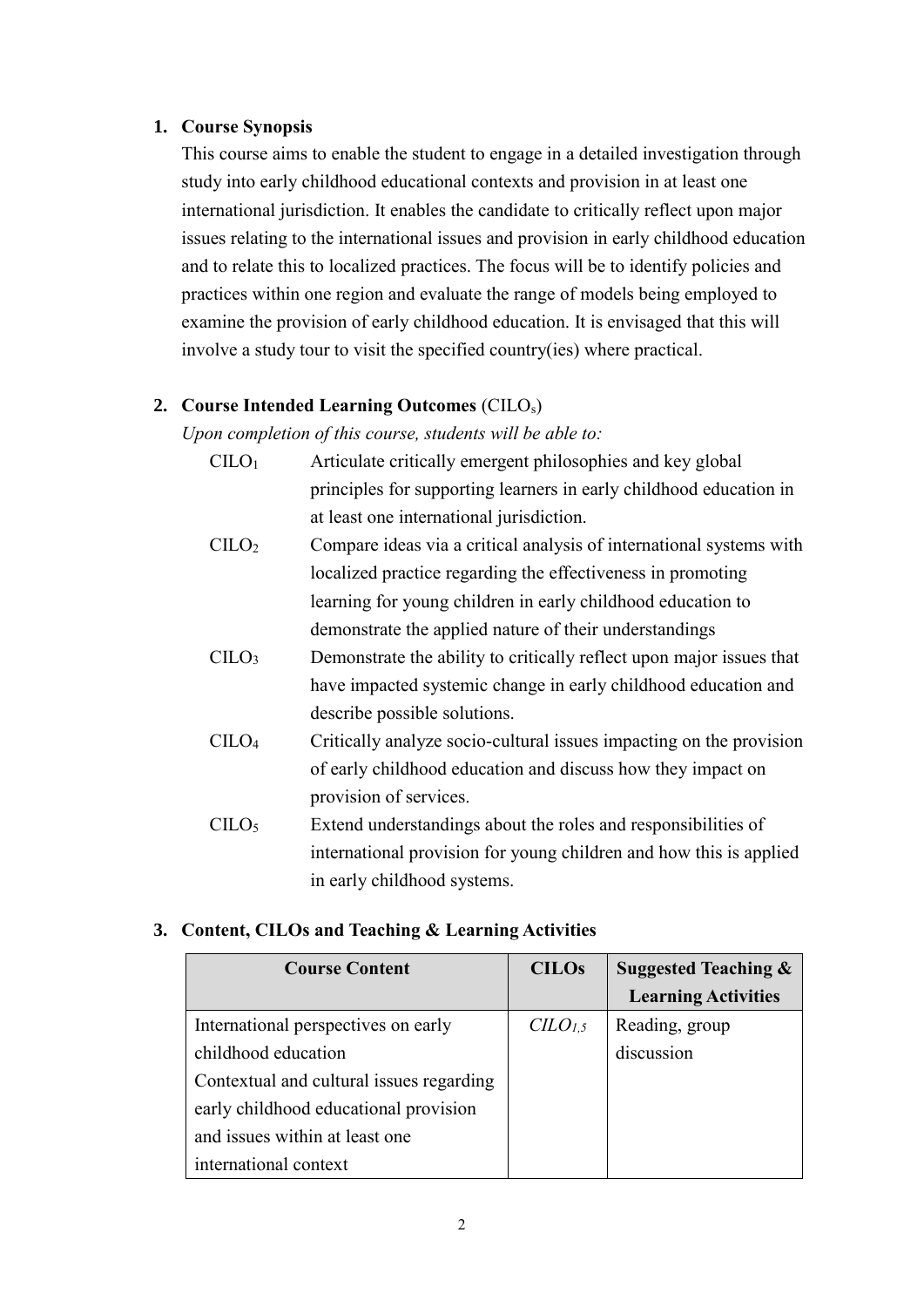#### **1. Course Synopsis**

This course aims to enable the student to engage in a detailed investigation through study into early childhood educational contexts and provision in at least one international jurisdiction. It enables the candidate to critically reflect upon major issues relating to the international issues and provision in early childhood education and to relate this to localized practices. The focus will be to identify policies and practices within one region and evaluate the range of models being employed to examine the provision of early childhood education. It is envisaged that this will involve a study tour to visit the specified country(ies) where practical.

## **2. Course Intended Learning Outcomes** (CILOs)

*Upon completion of this course, students will be able to:*

| C <sub>1</sub> CO <sub>1</sub> |                                          | Articulate critically emergent philosophies and key global         |  |                                        |  |  |  |  |  |  |  |
|--------------------------------|------------------------------------------|--------------------------------------------------------------------|--|----------------------------------------|--|--|--|--|--|--|--|
|                                |                                          | principles for supporting learners in early childhood education in |  |                                        |  |  |  |  |  |  |  |
|                                | at least one international jurisdiction. |                                                                    |  |                                        |  |  |  |  |  |  |  |
| $\cap$ TT $\cap$               |                                          |                                                                    |  | $\alpha$ 1 1 1 1 $\alpha$ 1 1 $\alpha$ |  |  |  |  |  |  |  |

- CILO<sup>2</sup> Compare ideas via a critical analysis of international systems with localized practice regarding the effectiveness in promoting learning for young children in early childhood education to demonstrate the applied nature of their understandings
- $CILO<sub>3</sub>$  Demonstrate the ability to critically reflect upon major issues that have impacted systemic change in early childhood education and describe possible solutions.
- CILO<sup>4</sup> Critically analyze socio-cultural issues impacting on the provision of early childhood education and discuss how they impact on provision of services.
- $C I L O<sub>5</sub>$  Extend understandings about the roles and responsibilities of international provision for young children and how this is applied in early childhood systems.

## **3. Content, CILOs and Teaching & Learning Activities**

| <b>Course Content</b>                    | <b>CILOs</b>                  | <b>Suggested Teaching &amp;</b> |
|------------------------------------------|-------------------------------|---------------------------------|
|                                          |                               | <b>Learning Activities</b>      |
| International perspectives on early      | C <sub>LO<sub>1.5</sub></sub> | Reading, group                  |
| childhood education                      |                               | discussion                      |
| Contextual and cultural issues regarding |                               |                                 |
| early childhood educational provision    |                               |                                 |
| and issues within at least one           |                               |                                 |
| international context                    |                               |                                 |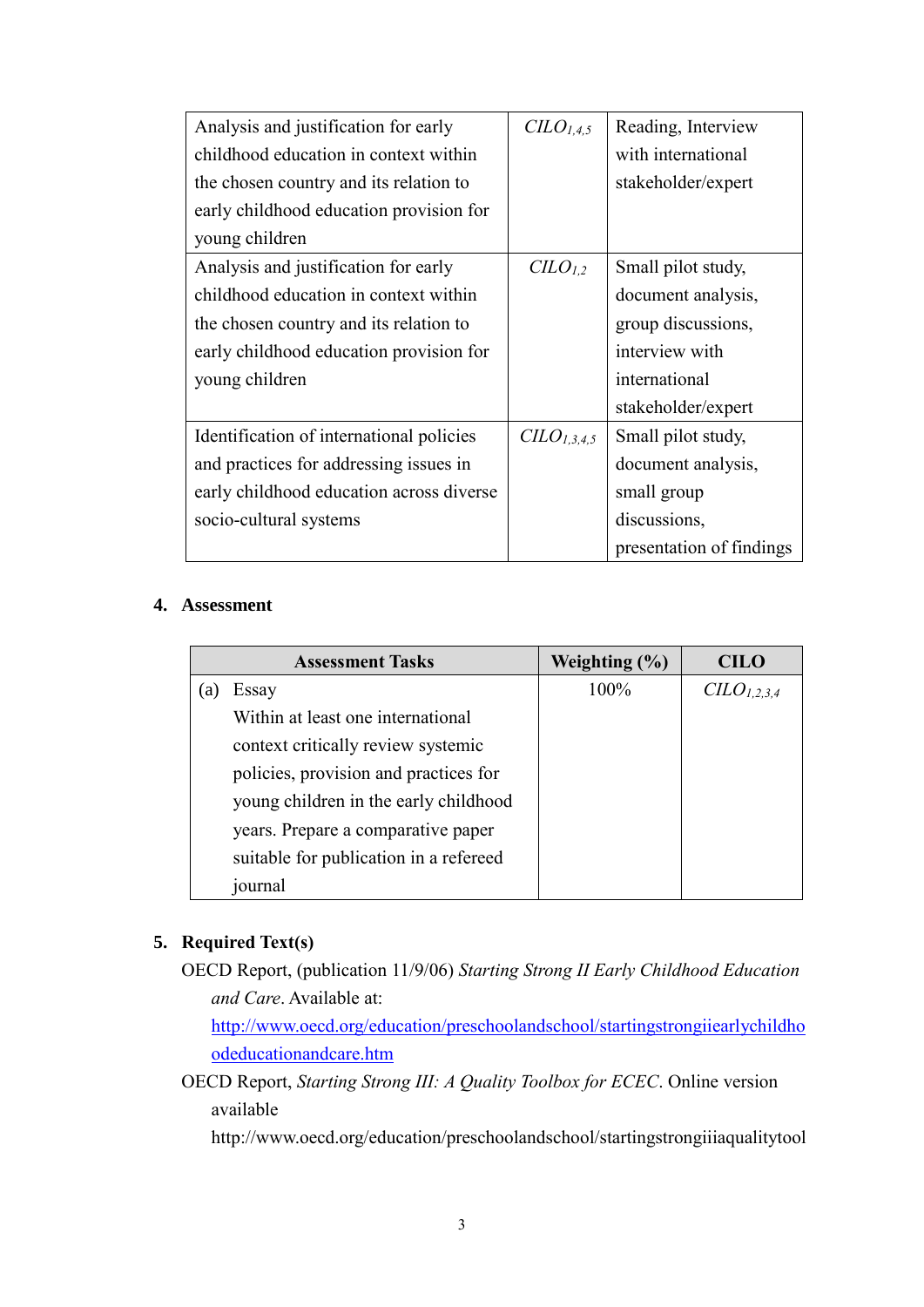| Analysis and justification for early     | CLO <sub>1,4,5</sub>   | Reading, Interview       |
|------------------------------------------|------------------------|--------------------------|
| childhood education in context within    |                        | with international       |
| the chosen country and its relation to   |                        | stakeholder/expert       |
| early childhood education provision for  |                        |                          |
| young children                           |                        |                          |
| Analysis and justification for early     | CLO <sub>1,2</sub>     | Small pilot study,       |
| childhood education in context within    |                        | document analysis,       |
| the chosen country and its relation to   |                        | group discussions,       |
| early childhood education provision for  |                        | interview with           |
| young children                           |                        | international            |
|                                          |                        | stakeholder/expert       |
| Identification of international policies | CLO <sub>1,3,4,5</sub> | Small pilot study,       |
| and practices for addressing issues in   |                        | document analysis,       |
| early childhood education across diverse |                        | small group              |
| socio-cultural systems                   |                        | discussions,             |
|                                          |                        | presentation of findings |

## **4. Assessment**

|    | <b>Assessment Tasks</b>                | Weighting $(\% )$ | <b>CILO</b>                         |
|----|----------------------------------------|-------------------|-------------------------------------|
| a) | Essay                                  | 100%              | C <sub>L</sub> O <sub>L,2,3,4</sub> |
|    | Within at least one international      |                   |                                     |
|    | context critically review systemic     |                   |                                     |
|    | policies, provision and practices for  |                   |                                     |
|    | young children in the early childhood  |                   |                                     |
|    | years. Prepare a comparative paper     |                   |                                     |
|    | suitable for publication in a refereed |                   |                                     |
|    | journal                                |                   |                                     |

# **5. Required Text(s)**

OECD Report, (publication 11/9/06) *Starting Strong II Early Childhood Education and Care*. Available at:

[http://www.oecd.org/education/preschoolandschool/startingstrongiiearlychildho](http://www.oecd.org/education/preschoolandschool/startingstrongiiearlychildhoodeducationandcare.htm) [odeducationandcare.htm](http://www.oecd.org/education/preschoolandschool/startingstrongiiearlychildhoodeducationandcare.htm)

OECD Report, *Starting Strong III: A Quality Toolbox for ECEC*. Online version available

http://www.oecd.org/education/preschoolandschool/startingstrongiiiaqualitytool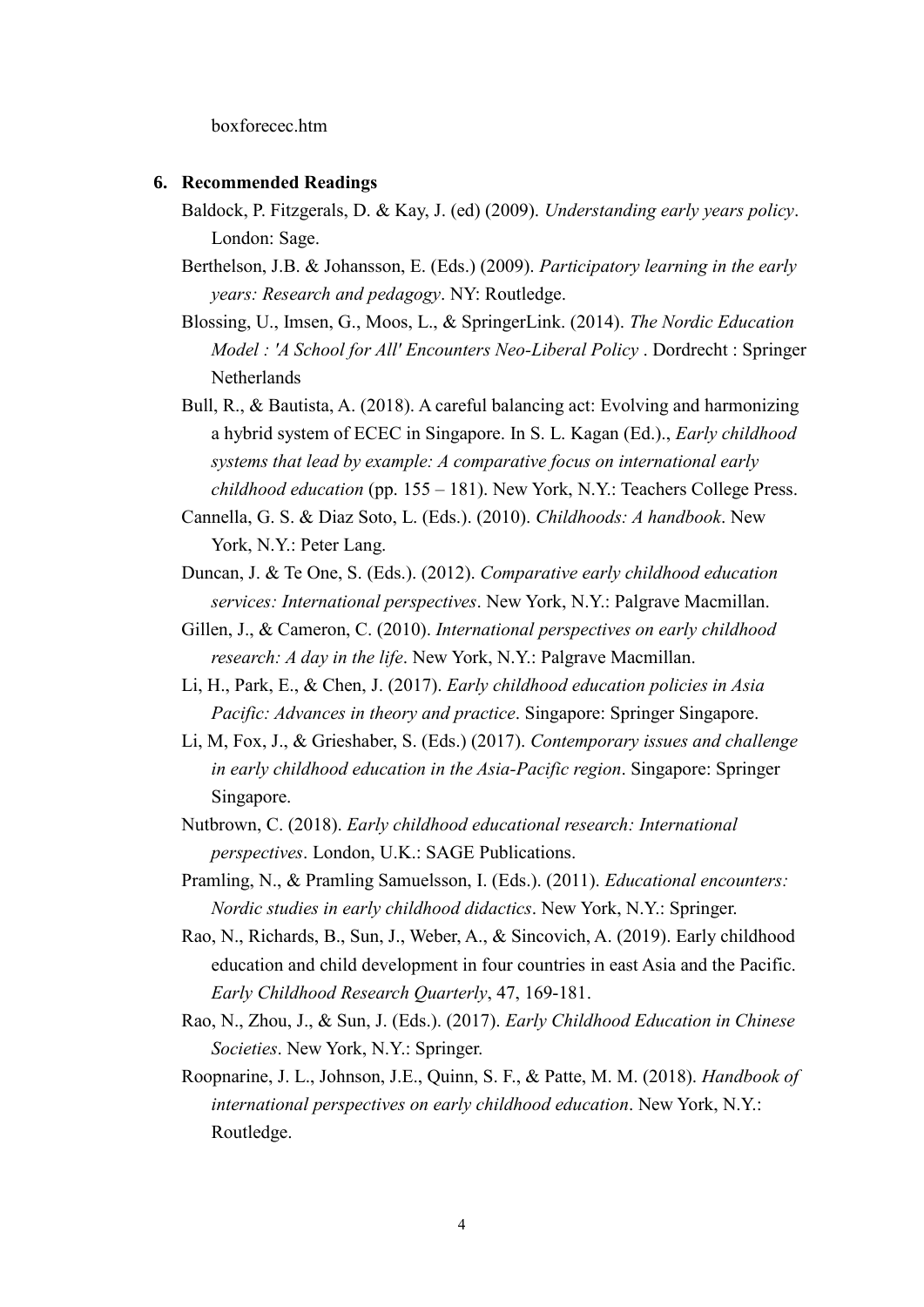boxforecec.htm

#### **6. Recommended Readings**

- Baldock, P. Fitzgerals, D. & Kay, J. (ed) (2009). *Understanding early years policy*. London: Sage.
- Berthelson, J.B. & Johansson, E. (Eds.) (2009). *Participatory learning in the early years: Research and pedagogy*. NY: Routledge.
- Blossing, U., Imsen, G., Moos, L., & SpringerLink. (2014). *The Nordic Education Model : 'A School for All' Encounters Neo-Liberal Policy* . Dordrecht : Springer Netherlands
- Bull, R., & Bautista, A. (2018). A careful balancing act: Evolving and harmonizing a hybrid system of ECEC in Singapore. In S. L. Kagan (Ed.)., *Early childhood systems that lead by example: A comparative focus on international early childhood education* (pp. 155 – 181). New York, N.Y.: Teachers College Press.
- Cannella, G. S. & Diaz Soto, L. (Eds.). (2010). *Childhoods: A handbook*. New York, N.Y.: Peter Lang.
- Duncan, J. & Te One, S. (Eds.). (2012). *Comparative early childhood education services: International perspectives*. New York, N.Y.: Palgrave Macmillan.
- Gillen, J., & Cameron, C. (2010). *International perspectives on early childhood research: A day in the life*. New York, N.Y.: Palgrave Macmillan.
- Li, H., Park, E., & Chen, J. (2017). *Early childhood education policies in Asia Pacific: Advances in theory and practice*. Singapore: Springer Singapore.
- Li, M, Fox, J., & Grieshaber, S. (Eds.) (2017). *Contemporary issues and challenge in early childhood education in the Asia-Pacific region*. Singapore: Springer Singapore.
- Nutbrown, C. (2018). *Early childhood educational research: International perspectives*. London, U.K.: SAGE Publications.
- Pramling, N., & Pramling Samuelsson, I. (Eds.). (2011). *Educational encounters: Nordic studies in early childhood didactics*. New York, N.Y.: Springer.
- Rao, N., Richards, B., Sun, J., Weber, A., & Sincovich, A. (2019). Early childhood education and child development in four countries in east Asia and the Pacific. *Early Childhood Research Quarterly*, 47, 169-181.
- Rao, N., Zhou, J., & Sun, J. (Eds.). (2017). *Early Childhood Education in Chinese Societies*. New York, N.Y.: Springer.
- Roopnarine, J. L., Johnson, J.E., Quinn, S. F., & Patte, M. M. (2018). *Handbook of international perspectives on early childhood education*. New York, N.Y.: Routledge.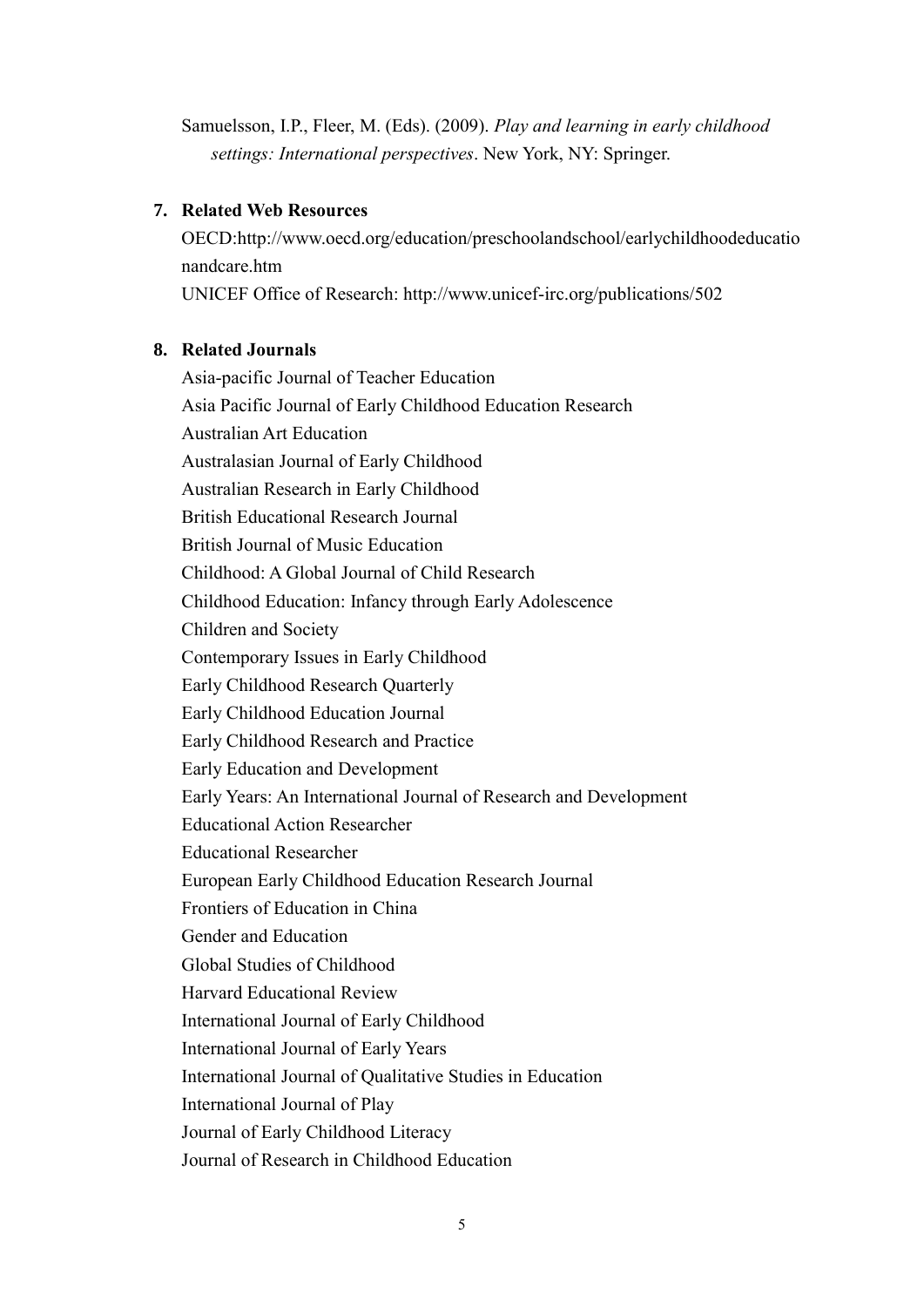Samuelsson, I.P., Fleer, M. (Eds). (2009). *Play and learning in early childhood settings: International perspectives*. New York, NY: Springer.

## **7. Related Web Resources**

OECD:http://www.oecd.org/education/preschoolandschool/earlychildhoodeducatio nandcare.htm

UNICEF Office of Research: http://www.unicef-irc.org/publications/502

## **8. Related Journals**

Asia-pacific Journal of Teacher Education Asia Pacific Journal of Early Childhood Education Research Australian Art Education Australasian Journal of Early Childhood Australian Research in Early Childhood British Educational Research Journal British Journal of Music Education Childhood: A Global Journal of Child Research Childhood Education: Infancy through Early Adolescence Children and Society Contemporary Issues in Early Childhood Early Childhood Research Quarterly Early Childhood Education Journal Early Childhood Research and Practice Early Education and Development Early Years: An International Journal of Research and Development Educational Action Researcher Educational Researcher European Early Childhood Education Research Journal Frontiers of Education in China Gender and Education Global Studies of Childhood Harvard Educational Review International Journal of Early Childhood International Journal of Early Years International Journal of Qualitative Studies in Education International Journal of Play Journal of Early Childhood Literacy Journal of Research in Childhood Education